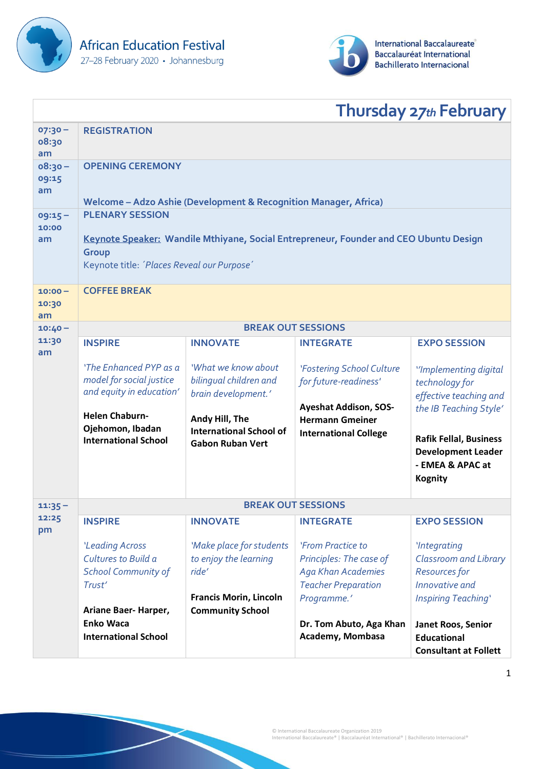



|                          |                                                                                                                                                                        |                                                                                             |                                                                                                                        | <b>Thursday 27th February</b>                                                                                              |  |
|--------------------------|------------------------------------------------------------------------------------------------------------------------------------------------------------------------|---------------------------------------------------------------------------------------------|------------------------------------------------------------------------------------------------------------------------|----------------------------------------------------------------------------------------------------------------------------|--|
| $07:30 -$<br>08:30<br>am | <b>REGISTRATION</b>                                                                                                                                                    |                                                                                             |                                                                                                                        |                                                                                                                            |  |
| $08:30 -$<br>09:15<br>am | <b>OPENING CEREMONY</b><br>Welcome - Adzo Ashie (Development & Recognition Manager, Africa)                                                                            |                                                                                             |                                                                                                                        |                                                                                                                            |  |
| $09:15 -$<br>10:00<br>am | <b>PLENARY SESSION</b><br>Keynote Speaker: Wandile Mthiyane, Social Entrepreneur, Founder and CEO Ubuntu Design<br>Group<br>Keynote title: 'Places Reveal our Purpose' |                                                                                             |                                                                                                                        |                                                                                                                            |  |
| $10:00 -$<br>10:30<br>am | <b>COFFEE BREAK</b>                                                                                                                                                    |                                                                                             |                                                                                                                        |                                                                                                                            |  |
| $10:40 -$                |                                                                                                                                                                        | <b>BREAK OUT SESSIONS</b>                                                                   |                                                                                                                        |                                                                                                                            |  |
| 11:30<br>am              | <b>INSPIRE</b>                                                                                                                                                         | <b>INNOVATE</b>                                                                             | <b>INTEGRATE</b>                                                                                                       | <b>EXPO SESSION</b>                                                                                                        |  |
|                          | 'The Enhanced PYP as a<br>model for social justice<br>and equity in education'                                                                                         | 'What we know about<br>bilingual children and<br>brain development.'                        | 'Fostering School Culture<br>for future-readiness'                                                                     | "Implementing digital<br>technology for<br>effective teaching and                                                          |  |
|                          | <b>Helen Chaburn-</b><br>Ojehomon, Ibadan<br><b>International School</b>                                                                                               | Andy Hill, The<br><b>International School of</b><br><b>Gabon Ruban Vert</b>                 | <b>Ayeshat Addison, SOS-</b><br><b>Hermann Gmeiner</b><br><b>International College</b>                                 | the IB Teaching Style'<br><b>Rafik Fellal, Business</b><br><b>Development Leader</b><br>- EMEA & APAC at<br><b>Kognity</b> |  |
| $11:35 -$                | <b>BREAK OUT SESSIONS</b>                                                                                                                                              |                                                                                             |                                                                                                                        |                                                                                                                            |  |
| 12:25<br>pm              | <b>INSPIRE</b>                                                                                                                                                         | <b>INNOVATE</b>                                                                             | <b>INTEGRATE</b>                                                                                                       | <b>EXPO SESSION</b>                                                                                                        |  |
|                          | 'Leading Across<br>Cultures to Build a<br><b>School Community of</b><br>Trust'                                                                                         | 'Make place for students<br>to enjoy the learning<br>ride'<br><b>Francis Morin, Lincoln</b> | 'From Practice to<br>Principles: The case of<br><b>Aga Khan Academies</b><br><b>Teacher Preparation</b><br>Programme.' | <i>'Integrating</i><br><b>Classroom and Library</b><br><b>Resources for</b><br>Innovative and<br>Inspiring Teaching'       |  |
|                          | Ariane Baer- Harper,<br><b>Enko Waca</b><br><b>International School</b>                                                                                                | <b>Community School</b>                                                                     | Dr. Tom Abuto, Aga Khan<br>Academy, Mombasa                                                                            | Janet Roos, Senior<br><b>Educational</b><br><b>Consultant at Follett</b>                                                   |  |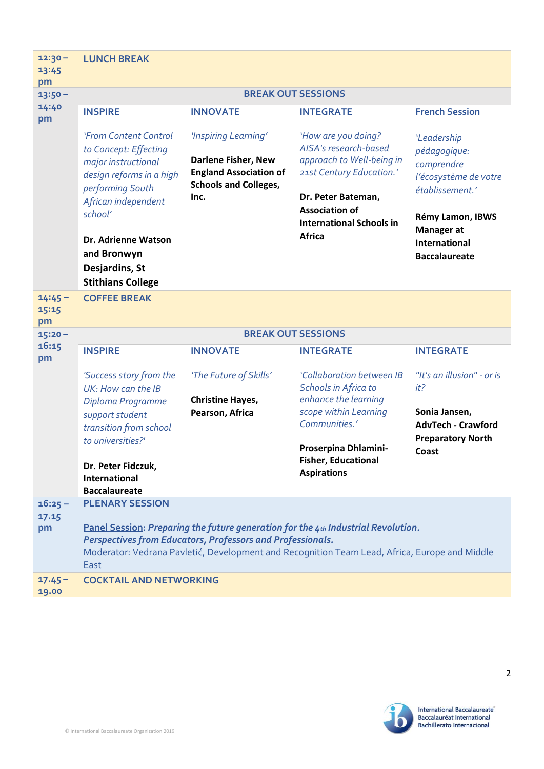| $12:30 -$<br>13:45                    | <b>LUNCH BREAK</b>                                                                                                                                                                                                                                                                        |                                                                                                                      |                                                                                                                                                                                                          |                                                                                                                                                                                |  |
|---------------------------------------|-------------------------------------------------------------------------------------------------------------------------------------------------------------------------------------------------------------------------------------------------------------------------------------------|----------------------------------------------------------------------------------------------------------------------|----------------------------------------------------------------------------------------------------------------------------------------------------------------------------------------------------------|--------------------------------------------------------------------------------------------------------------------------------------------------------------------------------|--|
| pm<br>$13:50 -$<br>14:40<br>pm        | <b>BREAK OUT SESSIONS</b>                                                                                                                                                                                                                                                                 |                                                                                                                      |                                                                                                                                                                                                          |                                                                                                                                                                                |  |
|                                       | <b>INSPIRE</b>                                                                                                                                                                                                                                                                            | <b>INNOVATE</b>                                                                                                      | <b>INTEGRATE</b>                                                                                                                                                                                         | <b>French Session</b>                                                                                                                                                          |  |
|                                       | 'From Content Control<br>to Concept: Effecting<br>major instructional<br>design reforms in a high<br>performing South<br>African independent<br>school'<br>Dr. Adrienne Watson<br>and Bronwyn<br>Desjardins, St<br><b>Stithians College</b>                                               | 'Inspiring Learning'<br>Darlene Fisher, New<br><b>England Association of</b><br><b>Schools and Colleges,</b><br>Inc. | 'How are you doing?<br>AISA's research-based<br>approach to Well-being in<br>21st Century Education.'<br>Dr. Peter Bateman,<br><b>Association of</b><br><b>International Schools in</b><br><b>Africa</b> | 'Leadership<br>pédagogique:<br>comprendre<br>l'écosystème de votre<br>établissement.'<br>Rémy Lamon, IBWS<br><b>Manager</b> at<br><b>International</b><br><b>Baccalaureate</b> |  |
| $14:45 -$<br>15:15<br>pm<br>$15:20 -$ | <b>COFFEE BREAK</b><br><b>BREAK OUT SESSIONS</b>                                                                                                                                                                                                                                          |                                                                                                                      |                                                                                                                                                                                                          |                                                                                                                                                                                |  |
| 16:15                                 | <b>INSPIRE</b>                                                                                                                                                                                                                                                                            | <b>INNOVATE</b>                                                                                                      | <b>INTEGRATE</b>                                                                                                                                                                                         | <b>INTEGRATE</b>                                                                                                                                                               |  |
| pm                                    | 'Success story from the<br>UK: How can the IB<br>Diploma Programme<br>support student<br>transition from school<br>to universities?'<br>Dr. Peter Fidczuk,<br><b>International</b><br><b>Baccalaureate</b>                                                                                | 'The Future of Skills'<br><b>Christine Hayes,</b><br>Pearson, Africa                                                 | 'Collaboration between IB<br>Schools in Africa to<br>enhance the learning<br>scope within Learning<br>Communities.'<br>Proserpina Dhlamini-<br><b>Fisher, Educational</b><br><b>Aspirations</b>          | "It's an illusion" - or is<br>it?<br>Sonia Jansen,<br><b>AdvTech - Crawford</b><br><b>Preparatory North</b><br>Coast                                                           |  |
| $16:25 -$<br>17.15<br>pm              | <b>PLENARY SESSION</b><br>Panel Session: Preparing the future generation for the 4th Industrial Revolution.<br><b>Perspectives from Educators, Professors and Professionals.</b><br>Moderator: Vedrana Pavletić, Development and Recognition Team Lead, Africa, Europe and Middle<br>East |                                                                                                                      |                                                                                                                                                                                                          |                                                                                                                                                                                |  |
| $17.45 -$<br>19.00                    | <b>COCKTAIL AND NETWORKING</b>                                                                                                                                                                                                                                                            |                                                                                                                      |                                                                                                                                                                                                          |                                                                                                                                                                                |  |



2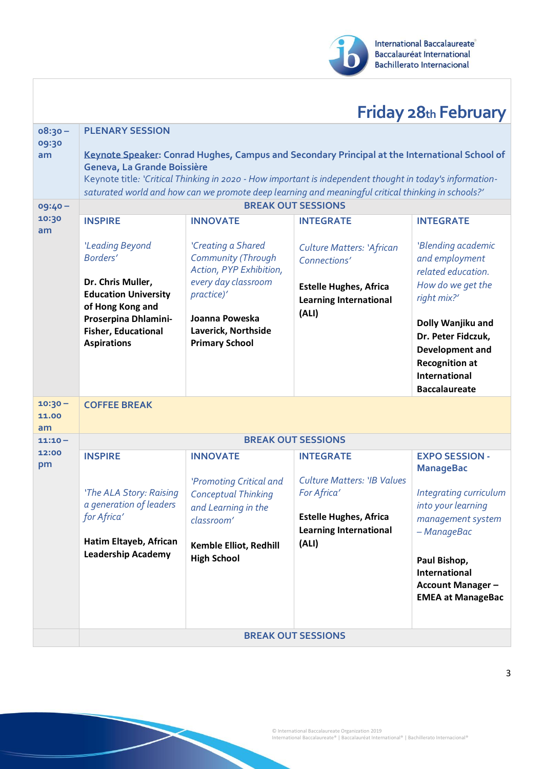

## **Friday 28th February**

| $08:30 -$<br>09:30<br>am | <b>PLENARY SESSION</b><br>Keynote Speaker: Conrad Hughes, Campus and Secondary Principal at the International School of<br>Geneva, La Grande Boissière<br>Keynote title: 'Critical Thinking in 2020 - How important is independent thought in today's information-<br>saturated world and how can we promote deep learning and meaningful critical thinking in schools?' |                                                                                                          |                                                                                                                     |                                                                                                |  |
|--------------------------|--------------------------------------------------------------------------------------------------------------------------------------------------------------------------------------------------------------------------------------------------------------------------------------------------------------------------------------------------------------------------|----------------------------------------------------------------------------------------------------------|---------------------------------------------------------------------------------------------------------------------|------------------------------------------------------------------------------------------------|--|
| $09:40 -$                | <b>BREAK OUT SESSIONS</b>                                                                                                                                                                                                                                                                                                                                                |                                                                                                          |                                                                                                                     |                                                                                                |  |
| 10:30<br>am              | <b>INSPIRE</b>                                                                                                                                                                                                                                                                                                                                                           | <b>INNOVATE</b>                                                                                          | <b>INTEGRATE</b>                                                                                                    | <b>INTEGRATE</b>                                                                               |  |
|                          | 'Leading Beyond<br>Borders'<br>Dr. Chris Muller,<br><b>Education University</b>                                                                                                                                                                                                                                                                                          | 'Creating a Shared<br>Community (Through<br>Action, PYP Exhibition,<br>every day classroom<br>practice)' | <b>Culture Matters: 'African</b><br>Connections'<br><b>Estelle Hughes, Africa</b><br><b>Learning International</b>  | 'Blending academic<br>and employment<br>related education.<br>How do we get the<br>right mix?' |  |
|                          | of Hong Kong and<br>Proserpina Dhlamini-<br><b>Fisher, Educational</b><br><b>Aspirations</b>                                                                                                                                                                                                                                                                             | Joanna Poweska<br>Laverick, Northside<br><b>Primary School</b>                                           | (ALI)                                                                                                               | Dolly Wanjiku and<br>Dr. Peter Fidczuk,                                                        |  |
|                          |                                                                                                                                                                                                                                                                                                                                                                          |                                                                                                          |                                                                                                                     | <b>Development and</b><br><b>Recognition at</b><br>International<br><b>Baccalaureate</b>       |  |
| $10:30 -$<br>11.00<br>am | <b>COFFEE BREAK</b>                                                                                                                                                                                                                                                                                                                                                      |                                                                                                          |                                                                                                                     |                                                                                                |  |
| $11:10 -$                |                                                                                                                                                                                                                                                                                                                                                                          |                                                                                                          | <b>BREAK OUT SESSIONS</b>                                                                                           |                                                                                                |  |
| 12:00<br>pm              | <b>INSPIRE</b>                                                                                                                                                                                                                                                                                                                                                           | <b>INNOVATE</b>                                                                                          | <b>INTEGRATE</b>                                                                                                    | <b>EXPO SESSION -</b><br><b>ManageBac</b>                                                      |  |
|                          | 'The ALA Story: Raising<br>a generation of leaders<br>for Africa'                                                                                                                                                                                                                                                                                                        | 'Promoting Critical and<br><b>Conceptual Thinking</b><br>and Learning in the<br>classroom'               | <b>Culture Matters: 'IB Values</b><br>For Africa'<br><b>Estelle Hughes, Africa</b><br><b>Learning International</b> | Integrating curriculum<br>into your learning<br>management system<br>– ManageBac               |  |
|                          | Hatim Eltayeb, African<br><b>Leadership Academy</b>                                                                                                                                                                                                                                                                                                                      | Kemble Elliot, Redhill<br><b>High School</b>                                                             | (ALI)                                                                                                               | Paul Bishop,<br>International<br><b>Account Manager -</b><br><b>EMEA at ManageBac</b>          |  |
|                          | <b>BREAK OUT SESSIONS</b>                                                                                                                                                                                                                                                                                                                                                |                                                                                                          |                                                                                                                     |                                                                                                |  |